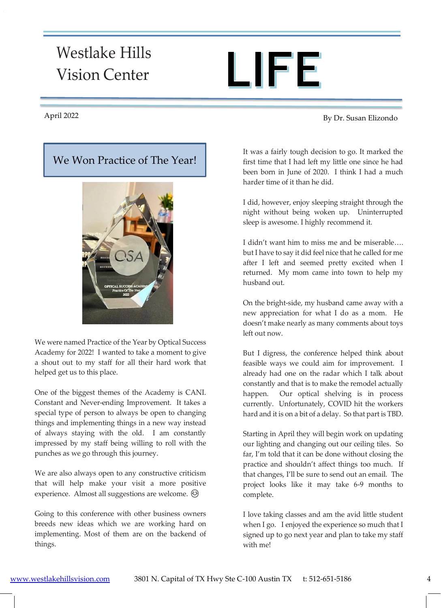# Westlake Hills Vision Center



### We Won Practice of The Year!



We were named Practice of the Year by Optical Success Academy for 2022! I wanted to take a moment to give a shout out to my staff for all their hard work that helped get us to this place.

One of the biggest themes of the Academy is CANI. Constant and Never-ending Improvement. It takes a special type of person to always be open to changing things and implementing things in a new way instead of always staying with the old. I am constantly impressed by my staff being willing to roll with the punches as we go through this journey.

We are also always open to any constructive criticism that will help make your visit a more positive experience. Almost all suggestions are welcome.  $\odot$ 

Going to this conference with other business owners breeds new ideas which we are working hard on implementing. Most of them are on the backend of things.

April By Dr. Susan Elizondo 2022

It was a fairly tough decision to go. It marked the first time that I had left my little one since he had been born in June of 2020. I think I had a much harder time of it than he did.

I did, however, enjoy sleeping straight through the night without being woken up. Uninterrupted sleep is awesome. I highly recommend it.

I didn't want him to miss me and be miserable…. but I have to say it did feel nice that he called for me after I left and seemed pretty excited when I returned. My mom came into town to help my husband out.

On the bright-side, my husband came away with a new appreciation for what I do as a mom. He doesn't make nearly as many comments about toys left out now.

But I digress, the conference helped think about feasible ways we could aim for improvement. I already had one on the radar which I talk about constantly and that is to make the remodel actually happen. Our optical shelving is in process currently. Unfortunately, COVID hit the workers hard and it is on a bit of a delay. So that part is TBD.

Starting in April they will begin work on updating our lighting and changing out our ceiling tiles. So far, I'm told that it can be done without closing the practice and shouldn't affect things too much. If that changes, I'll be sure to send out an email. The project looks like it may take 6-9 months to complete.

I love taking classes and am the avid little student when I go. I enjoyed the experience so much that I signed up to go next year and plan to take my staff with me!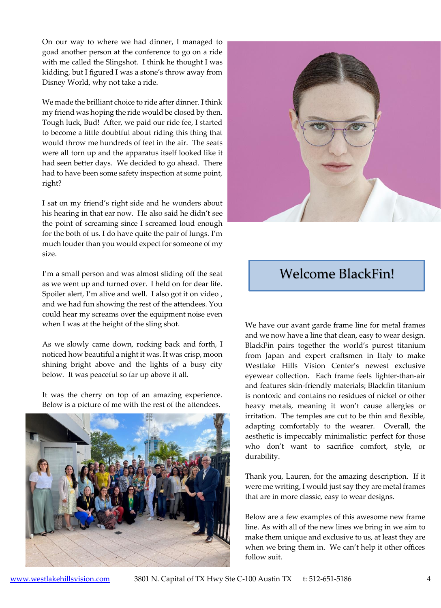On our way to where we had dinner, I managed to goad another person at the conference to go on a ride with me called the Slingshot. I think he thought I was kidding, but I figured I was a stone's throw away from Disney World, why not take a ride.

We made the brilliant choice to ride after dinner. I think my friend was hoping the ride would be closed by then. Tough luck, Bud! After, we paid our ride fee, I started to become a little doubtful about riding this thing that would throw me hundreds of feet in the air. The seats were all torn up and the apparatus itself looked like it had seen better days. We decided to go ahead. There had to have been some safety inspection at some point, right?

I sat on my friend's right side and he wonders about his hearing in that ear now. He also said he didn't see the point of screaming since I screamed loud enough for the both of us. I do have quite the pair of lungs. I'm much louder than you would expect for someone of my size.

I'm a small person and was almost sliding off the seat as we went up and turned over. I held on for dear life. Spoiler alert, I'm alive and well. I also got it on video , and we had fun showing the rest of the attendees. You could hear my screams over the equipment noise even when I was at the height of the sling shot.

As we slowly came down, rocking back and forth, I noticed how beautiful a night it was. It was crisp, moon shining bright above and the lights of a busy city below. It was peaceful so far up above it all.

It was the cherry on top of an amazing experience. Below is a picture of me with the rest of the attendees.





## Welcome BlackFin!

We have our avant garde frame line for metal frames and we now have a line that clean, easy to wear design. BlackFin pairs together the world's purest titanium from Japan and expert craftsmen in Italy to make Westlake Hills Vision Center's newest exclusive eyewear collection. Each frame feels lighter-than-air and features skin-friendly materials; Blackfin titanium is nontoxic and contains no residues of nickel or other heavy metals, meaning it won't cause allergies or irritation. The temples are cut to be thin and flexible, adapting comfortably to the wearer. Overall, the aesthetic is impeccably minimalistic: perfect for those who don't want to sacrifice comfort, style, or durability.

Thank you, Lauren, for the amazing description. If it were me writing, I would just say they are metal frames that are in more classic, easy to wear designs.

Below are a few examples of this awesome new frame line. As with all of the new lines we bring in we aim to make them unique and exclusive to us, at least they are when we bring them in. We can't help it other offices follow suit.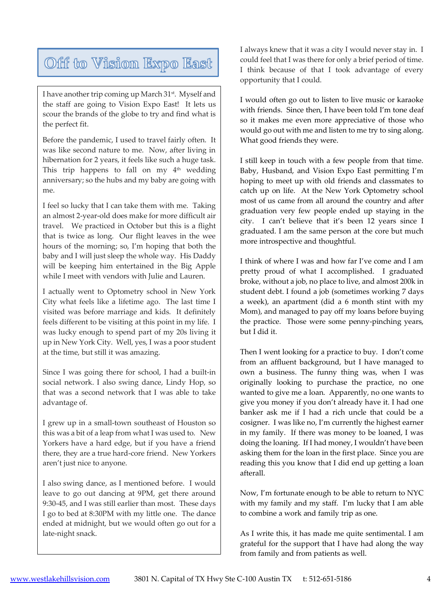# Off to Vision Expo East

I have another trip coming up March 31<sup>st</sup>. Myself and the staff are going to Vision Expo East! It lets us scour the brands of the globe to try and find what is the perfect fit.

 $me.$ Before the pandemic, I used to travel fairly often. It was like second nature to me. Now, after living in hibernation for 2 years, it feels like such a huge task. This trip happens to fall on my  $4<sup>th</sup>$  wedding anniversary; so the hubs and my baby are going with me.

I feel so lucky that I can take them with me. Taking an almost 2-year-old does make for more difficult air travel. We practiced in October but this is a flight that is twice as long. Our flight leaves in the wee hours of the morning; so, I'm hoping that both the baby and I will just sleep the whole way. His Daddy will be keeping him entertained in the Big Apple while I meet with vendors with Julie and Lauren.

was lucky enough to spend part of my 20s living it<br>up in Now York City, Woll yes Luce a poor student I actually went to Optometry school in New York City what feels like a lifetime ago. The last time I visited was before marriage and kids. It definitely feels different to be visiting at this point in my life. I up in New York City. Well, yes, I was a poor student at the time, but still it was amazing.

Since I was going there for school, I had a built-in social network. I also swing dance, Lindy Hop, so that was a second network that I was able to take advantage of.

I grew up in a small-town southeast of Houston so this was a bit of a leap from what I was used to. New Yorkers have a hard edge, but if you have a friend there, they are a true hard-core friend. New Yorkers aren't just nice to anyone.

I also swing dance, as I mentioned before. I would leave to go out dancing at 9PM, get there around 9:30-45, and I was still earlier than most. These days I go to bed at 8:30PM with my little one. The dance ended at midnight, but we would often go out for a late-night snack.

I always knew that it was a city I would never stay in. I could feel that I was there for only a brief period of time. I think because of that I took advantage of every opportunity that I could.

I would often go out to listen to live music or karaoke with friends. Since then, I have been told I'm tone deaf so it makes me even more appreciative of those who would go out with me and listen to me try to sing along. What good friends they were.

I still keep in touch with a few people from that time. Baby, Husband, and Vision Expo East permitting I'm hoping to meet up with old friends and classmates to catch up on life. At the New York Optometry school most of us came from all around the country and after graduation very few people ended up staying in the city. I can't believe that it's been 12 years since I graduated. I am the same person at the core but much more introspective and thoughtful.

I think of where I was and how far I've come and I am pretty proud of what I accomplished. I graduated broke, without a job, no place to live, and almost 200k in student debt. I found a job (sometimes working 7 days a week), an apartment (did a 6 month stint with my Mom), and managed to pay off my loans before buying the practice. Those were some penny-pinching years, but I did it.

Then I went looking for a practice to buy. I don't come from an affluent background, but I have managed to own a business. The funny thing was, when I was originally looking to purchase the practice, no one wanted to give me a loan. Apparently, no one wants to give you money if you don't already have it. I had one banker ask me if I had a rich uncle that could be a cosigner. I was like no, I'm currently the highest earner in my family. If there was money to be loaned, I was doing the loaning. If I had money, I wouldn't have been asking them for the loan in the first place. Since you are reading this you know that I did end up getting a loan afterall.

Now, I'm fortunate enough to be able to return to NYC with my family and my staff. I'm lucky that I am able to combine a work and family trip as one.

As I write this, it has made me quite sentimental. I am grateful for the support that I have had along the way from family and from patients as well.